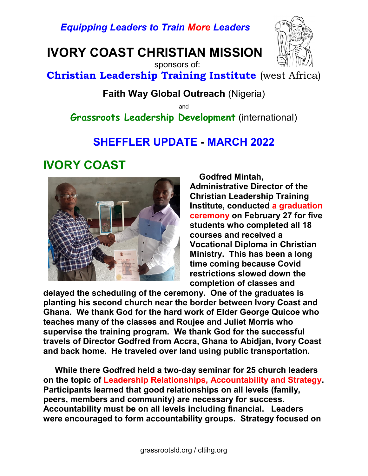Equipping Leaders to Train More Leaders

IVORY COAST CHRISTIAN MISSION



 sponsors of: Christian Leadership Training Institute (west Africa)

Faith Way Global Outreach (Nigeria)

and

Grassroots Leadership Development (international)

#### SHEFFLER UPDATE - MARCH 2022

## IVORY COAST



 Godfred Mintah, Administrative Director of the Christian Leadership Training Institute, conducted a graduation ceremony on February 27 for five students who completed all 18 courses and received a Vocational Diploma in Christian Ministry. This has been a long time coming because Covid restrictions slowed down the completion of classes and

delayed the scheduling of the ceremony. One of the graduates is planting his second church near the border between Ivory Coast and Ghana. We thank God for the hard work of Elder George Quicoe who teaches many of the classes and Roujee and Juliet Morris who supervise the training program. We thank God for the successful travels of Director Godfred from Accra, Ghana to Abidjan, Ivory Coast and back home. He traveled over land using public transportation.

 While there Godfred held a two-day seminar for 25 church leaders on the topic of Leadership Relationships, Accountability and Strategy. Participants learned that good relationships on all levels (family, peers, members and community) are necessary for success. Accountability must be on all levels including financial. Leaders were encouraged to form accountability groups. Strategy focused on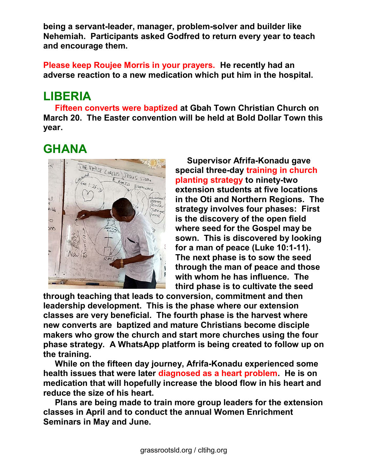being a servant-leader, manager, problem-solver and builder like Nehemiah. Participants asked Godfred to return every year to teach and encourage them.

Please keep Roujee Morris in your prayers. He recently had an adverse reaction to a new medication which put him in the hospital.

# LIBERIA

 Fifteen converts were baptized at Gbah Town Christian Church on March 20. The Easter convention will be held at Bold Dollar Town this year.

# GHANA



 Supervisor Afrifa-Konadu gave special three-day training in church planting strategy to ninety-two extension students at five locations in the Oti and Northern Regions. The strategy involves four phases: First is the discovery of the open field where seed for the Gospel may be sown. This is discovered by looking for a man of peace (Luke 10:1-11). The next phase is to sow the seed through the man of peace and those with whom he has influence. The third phase is to cultivate the seed

through teaching that leads to conversion, commitment and then leadership development. This is the phase where our extension classes are very beneficial. The fourth phase is the harvest where new converts are baptized and mature Christians become disciple makers who grow the church and start more churches using the four phase strategy. A WhatsApp platform is being created to follow up on the training.

 While on the fifteen day journey, Afrifa-Konadu experienced some health issues that were later diagnosed as a heart problem. He is on medication that will hopefully increase the blood flow in his heart and reduce the size of his heart.

 Plans are being made to train more group leaders for the extension classes in April and to conduct the annual Women Enrichment Seminars in May and June.